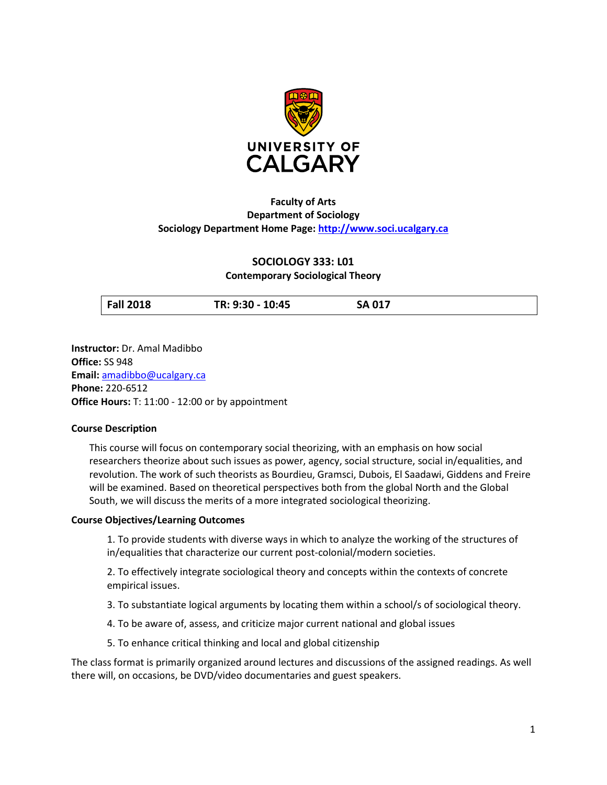

# **Faculty of Arts Department of Sociology Sociology Department Home Page: [http://www.soci.ucalgary.ca](http://www.soci.ucalgary.ca/)**

# **SOCIOLOGY 333: L01 Contemporary Sociological Theory**

| <b>Fall 2018</b> | TR: 9:30 - 10:45 | <b>SA 017</b> |
|------------------|------------------|---------------|
|                  |                  |               |

**Instructor:** Dr. Amal Madibbo **Office:** SS 948 **Email:** [amadibbo@ucalgary.ca](mailto:amadibbo@ucalgary.ca) **Phone:** 220-6512 **Office Hours:** T: 11:00 - 12:00 or by appointment

# **Course Description**

This course will focus on contemporary social theorizing, with an emphasis on how social researchers theorize about such issues as power, agency, social structure, social in/equalities, and revolution. The work of such theorists as Bourdieu, Gramsci, Dubois, El Saadawi, Giddens and Freire will be examined. Based on theoretical perspectives both from the global North and the Global South, we will discuss the merits of a more integrated sociological theorizing.

#### **Course Objectives/Learning Outcomes**

1. To provide students with diverse ways in which to analyze the working of the structures of in/equalities that characterize our current post-colonial/modern societies.

2. To effectively integrate sociological theory and concepts within the contexts of concrete empirical issues.

- 3. To substantiate logical arguments by locating them within a school/s of sociological theory.
- 4. To be aware of, assess, and criticize major current national and global issues
- 5. To enhance critical thinking and local and global citizenship

The class format is primarily organized around lectures and discussions of the assigned readings. As well there will, on occasions, be DVD/video documentaries and guest speakers.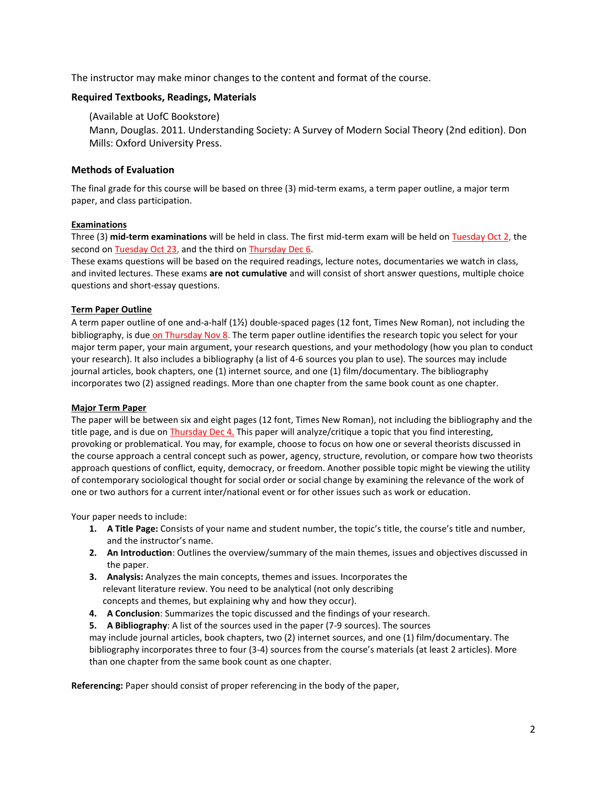The instructor may make minor changes to the content and format of the course.

### **Required Textbooks, Readings, Materials**

(Available at UofC Bookstore)

Mann, Douglas. 2011. Understanding Society: A Survey of Modern Social Theory (2nd edition). Don Mills: Oxford University Press.

# **Methods of Evaluation**

The final grade for this course will be based on three (3) mid-term exams, a term paper outline, a major term paper, and class participation.

#### **Examinations**

Three (3) **mid-term examinations** will be held in class. The first mid-term exam will be held on Tuesday Oct 2, the second on Tuesday Oct 23, and the third on Thursday Dec 6.

These exams questions will be based on the required readings, lecture notes, documentaries we watch in class, and invited lectures. These exams **are not cumulative** and will consist of short answer questions, multiple choice questions and short-essay questions.

### **Term Paper Outline**

A term paper outline of one and-a-half (1½) double-spaced pages (12 font, Times New Roman), not including the bibliography, is due on Thursday Nov 8. The term paper outline identifies the research topic you select for your major term paper, your main argument, your research questions, and your methodology (how you plan to conduct your research). It also includes a bibliography (a list of 4-6 sources you plan to use). The sources may include journal articles, book chapters, one (1) internet source, and one (1) film/documentary. The bibliography incorporates two (2) assigned readings. More than one chapter from the same book count as one chapter.

#### **Major Term Paper**

The paper will be between six and eight pages (12 font, Times New Roman), not including the bibliography and the title page, and is due on Thursday Dec 4. This paper will analyze/critique a topic that you find interesting, provoking or problematical. You may, for example, choose to focus on how one or several theorists discussed in the course approach a central concept such as power, agency, structure, revolution, or compare how two theorists approach questions of conflict, equity, democracy, or freedom. Another possible topic might be viewing the utility of contemporary sociological thought for social order or social change by examining the relevance of the work of one or two authors for a current inter/national event or for other issues such as work or education.

Your paper needs to include:

- **1. A Title Page:** Consists of your name and student number, the topic's title, the course's title and number, and the instructor's name.
- **2. An Introduction**: Outlines the overview/summary of the main themes, issues and objectives discussed in the paper.
- **3. Analysis:** Analyzes the main concepts, themes and issues. Incorporates the relevant literature review. You need to be analytical (not only describing concepts and themes, but explaining why and how they occur).
- **4. A Conclusion**: Summarizes the topic discussed and the findings of your research.

**5. A Bibliography**: A list of the sources used in the paper (7-9 sources). The sources may include journal articles, book chapters, two (2) internet sources, and one (1) film/documentary. The bibliography incorporates three to four (3-4) sources from the course's materials (at least 2 articles). More than one chapter from the same book count as one chapter.

**Referencing:** Paper should consist of proper referencing in the body of the paper,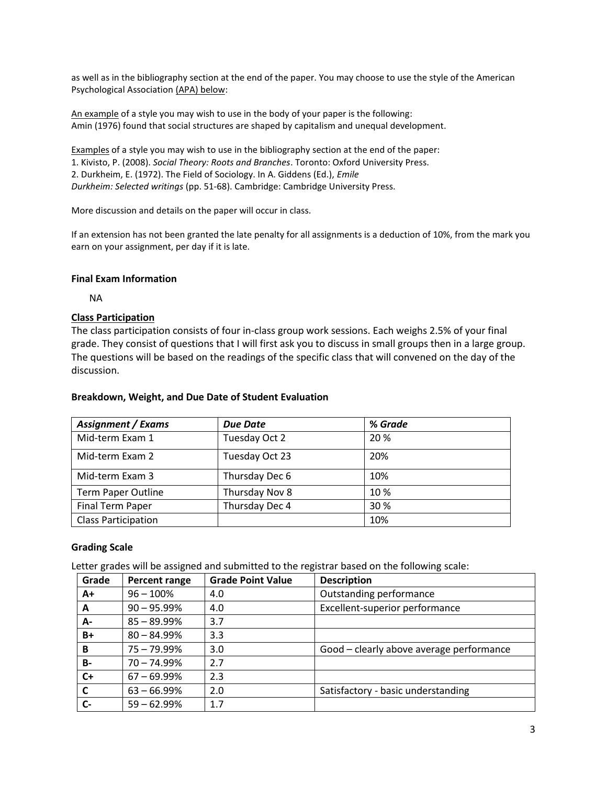as well as in the bibliography section at the end of the paper. You may choose to use the style of the American Psychological Association (APA) below:

An example of a style you may wish to use in the body of your paper is the following: Amin (1976) found that social structures are shaped by capitalism and unequal development.

Examples of a style you may wish to use in the bibliography section at the end of the paper: 1. Kivisto, P. (2008). *Social Theory: Roots and Branches*. Toronto: Oxford University Press. 2. Durkheim, E. (1972). The Field of Sociology. In A. Giddens (Ed.), *Emile Durkheim: Selected writings* (pp. 51-68). Cambridge: Cambridge University Press.

More discussion and details on the paper will occur in class.

If an extension has not been granted the late penalty for all assignments is a deduction of 10%, from the mark you earn on your assignment, per day if it is late.

### **Final Exam Information**

NA

# **Class Participation**

The class participation consists of four in-class group work sessions. Each weighs 2.5% of your final grade. They consist of questions that I will first ask you to discuss in small groups then in a large group. The questions will be based on the readings of the specific class that will convened on the day of the discussion.

#### **Breakdown, Weight, and Due Date of Student Evaluation**

| <b>Assignment / Exams</b>  | <b>Due Date</b> | % Grade |
|----------------------------|-----------------|---------|
| Mid-term Exam 1            | Tuesday Oct 2   | 20 %    |
| Mid-term Exam 2            | Tuesday Oct 23  | 20%     |
| Mid-term Exam 3            | Thursday Dec 6  | 10%     |
| <b>Term Paper Outline</b>  | Thursday Nov 8  | 10%     |
| Final Term Paper           | Thursday Dec 4  | 30 %    |
| <b>Class Participation</b> |                 | 10%     |

# **Grading Scale**

Letter grades will be assigned and submitted to the registrar based on the following scale:

| Grade     | Percent range  | <b>Grade Point Value</b> | <b>Description</b>                       |
|-----------|----------------|--------------------------|------------------------------------------|
| $A+$      | $96 - 100\%$   | 4.0                      | Outstanding performance                  |
| A         | $90 - 95.99%$  | 4.0                      | Excellent-superior performance           |
| A-        | $85 - 89.99%$  | 3.7                      |                                          |
| B+        | $80 - 84.99\%$ | 3.3                      |                                          |
| B         | $75 - 79.99\%$ | 3.0                      | Good - clearly above average performance |
| <b>B-</b> | $70 - 74.99\%$ | 2.7                      |                                          |
| $C+$      | $67 - 69.99\%$ | 2.3                      |                                          |
| C         | $63 - 66.99%$  | 2.0                      | Satisfactory - basic understanding       |
| $c-$      | $59 - 62.99%$  | 1.7                      |                                          |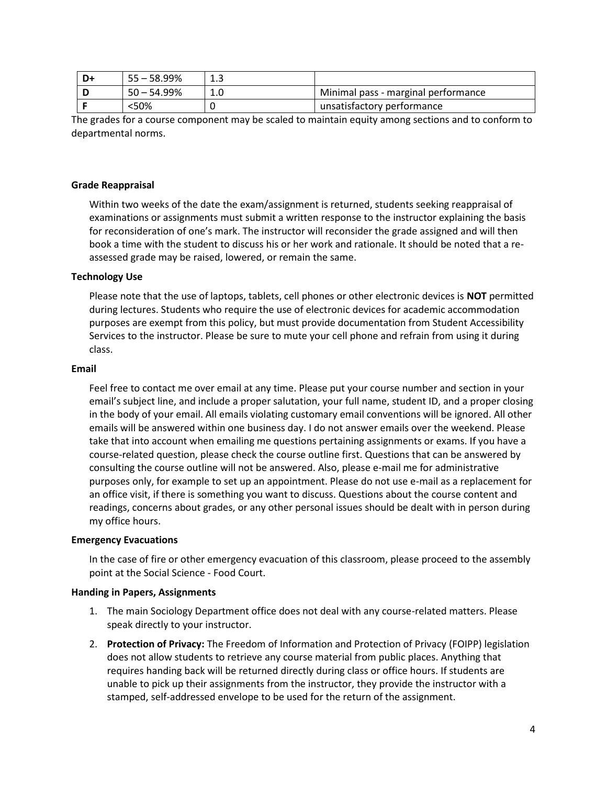| D+ | $55 - 58.99\%$ |                                     |
|----|----------------|-------------------------------------|
|    | $50 - 54.99%$  | Minimal pass - marginal performance |
|    | <50%           | unsatisfactory performance          |

The grades for a course component may be scaled to maintain equity among sections and to conform to departmental norms.

### **Grade Reappraisal**

Within two weeks of the date the exam/assignment is returned, students seeking reappraisal of examinations or assignments must submit a written response to the instructor explaining the basis for reconsideration of one's mark. The instructor will reconsider the grade assigned and will then book a time with the student to discuss his or her work and rationale. It should be noted that a reassessed grade may be raised, lowered, or remain the same.

#### **Technology Use**

Please note that the use of laptops, tablets, cell phones or other electronic devices is **NOT** permitted during lectures. Students who require the use of electronic devices for academic accommodation purposes are exempt from this policy, but must provide documentation from Student Accessibility Services to the instructor. Please be sure to mute your cell phone and refrain from using it during class.

#### **Email**

Feel free to contact me over email at any time. Please put your course number and section in your email's subject line, and include a proper salutation, your full name, student ID, and a proper closing in the body of your email. All emails violating customary email conventions will be ignored. All other emails will be answered within one business day. I do not answer emails over the weekend. Please take that into account when emailing me questions pertaining assignments or exams. If you have a course-related question, please check the course outline first. Questions that can be answered by consulting the course outline will not be answered. Also, please e-mail me for administrative purposes only, for example to set up an appointment. Please do not use e-mail as a replacement for an office visit, if there is something you want to discuss. Questions about the course content and readings, concerns about grades, or any other personal issues should be dealt with in person during my office hours.

#### **Emergency Evacuations**

In the case of fire or other emergency evacuation of this classroom, please proceed to the assembly point at the Social Science - Food Court.

#### **Handing in Papers, Assignments**

- 1. The main Sociology Department office does not deal with any course-related matters. Please speak directly to your instructor.
- 2. **Protection of Privacy:** The Freedom of Information and Protection of Privacy (FOIPP) legislation does not allow students to retrieve any course material from public places. Anything that requires handing back will be returned directly during class or office hours. If students are unable to pick up their assignments from the instructor, they provide the instructor with a stamped, self-addressed envelope to be used for the return of the assignment.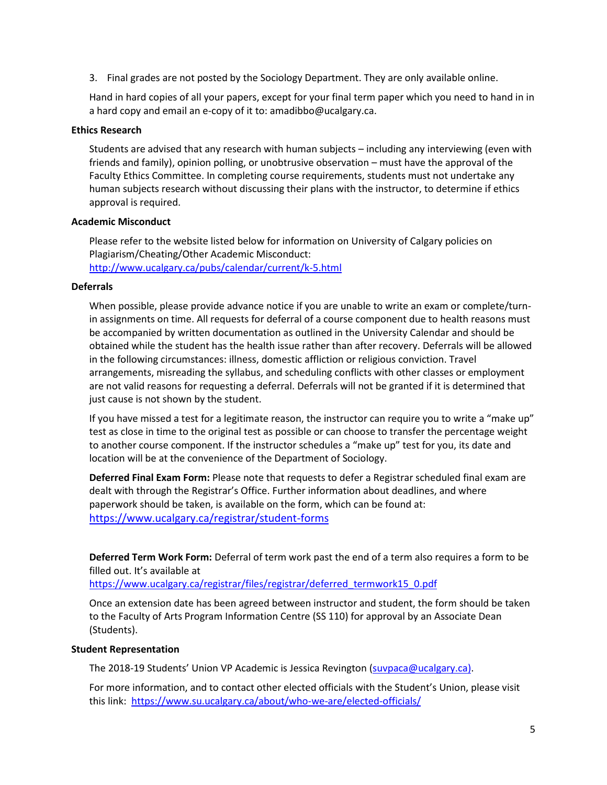3. Final grades are not posted by the Sociology Department. They are only available online.

Hand in hard copies of all your papers, except for your final term paper which you need to hand in in a hard copy and email an e-copy of it to: amadibbo@ucalgary.ca.

### **Ethics Research**

Students are advised that any research with human subjects – including any interviewing (even with friends and family), opinion polling, or unobtrusive observation – must have the approval of the Faculty Ethics Committee. In completing course requirements, students must not undertake any human subjects research without discussing their plans with the instructor, to determine if ethics approval is required.

### **Academic Misconduct**

Please refer to the website listed below for information on University of Calgary policies on Plagiarism/Cheating/Other Academic Misconduct: <http://www.ucalgary.ca/pubs/calendar/current/k-5.html>

### **Deferrals**

When possible, please provide advance notice if you are unable to write an exam or complete/turnin assignments on time. All requests for deferral of a course component due to health reasons must be accompanied by written documentation as outlined in the University Calendar and should be obtained while the student has the health issue rather than after recovery. Deferrals will be allowed in the following circumstances: illness, domestic affliction or religious conviction. Travel arrangements, misreading the syllabus, and scheduling conflicts with other classes or employment are not valid reasons for requesting a deferral. Deferrals will not be granted if it is determined that just cause is not shown by the student.

If you have missed a test for a legitimate reason, the instructor can require you to write a "make up" test as close in time to the original test as possible or can choose to transfer the percentage weight to another course component. If the instructor schedules a "make up" test for you, its date and location will be at the convenience of the Department of Sociology.

**Deferred Final Exam Form:** Please note that requests to defer a Registrar scheduled final exam are dealt with through the Registrar's Office. Further information about deadlines, and where paperwork should be taken, is available on the form, which can be found at: <https://www.ucalgary.ca/registrar/student-forms>

**Deferred Term Work Form:** Deferral of term work past the end of a term also requires a form to be filled out. It's available at

[https://www.ucalgary.ca/registrar/files/registrar/deferred\\_termwork15\\_0.pdf](https://www.ucalgary.ca/registrar/files/registrar/deferred_termwork15_0.pdf) 

Once an extension date has been agreed between instructor and student, the form should be taken to the Faculty of Arts Program Information Centre (SS 110) for approval by an Associate Dean (Students).

# **Student Representation**

The 2018-19 Students' Union VP Academic is Jessica Revington [\(suvpaca@ucalgary.ca\)](mailto:suvpaca@ucalgary.ca).

For more information, and to contact other elected officials with the Student's Union, please visit this link:<https://www.su.ucalgary.ca/about/who-we-are/elected-officials/>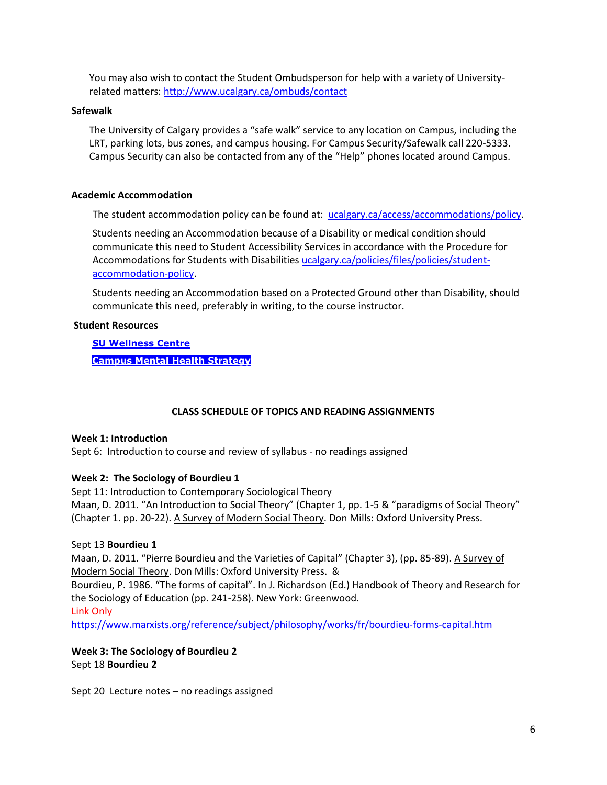You may also wish to contact the Student Ombudsperson for help with a variety of Universityrelated matters:<http://www.ucalgary.ca/ombuds/contact>

#### **Safewalk**

The University of Calgary provides a "safe walk" service to any location on Campus, including the LRT, parking lots, bus zones, and campus housing. For Campus Security/Safewalk call 220-5333. Campus Security can also be contacted from any of the "Help" phones located around Campus.

### **Academic Accommodation**

The student accommodation policy can be found at: [ucalgary.ca/access/accommodations/policy.](http://www.ucalgary.ca/access/accommodations/policy)

Students needing an Accommodation because of a Disability or medical condition should communicate this need to Student Accessibility Services in accordance with the Procedure for Accommodations for Students with Disabilities [ucalgary.ca/policies/files/policies/student](http://www.ucalgary.ca/policies/files/policies/student-accommodation-policy.pdf)[accommodation-policy.](http://www.ucalgary.ca/policies/files/policies/student-accommodation-policy.pdf)

Students needing an Accommodation based on a Protected Ground other than Disability, should communicate this need, preferably in writing, to the course instructor.

#### **Student Resources**

**[SU Wellness Centre](http://www.ucalgary.ca/wellnesscentre/) Campus Mental [Health Strategy](https://www.ucalgary.ca/mentalhealth/)**

# **CLASS SCHEDULE OF TOPICS AND READING ASSIGNMENTS**

#### **Week 1: Introduction**

Sept 6: Introduction to course and review of syllabus - no readings assigned

# **Week 2: The Sociology of Bourdieu 1**

Sept 11: Introduction to Contemporary Sociological Theory Maan, D. 2011. "An Introduction to Social Theory" (Chapter 1, pp. 1-5 & "paradigms of Social Theory" (Chapter 1. pp. 20-22). A Survey of Modern Social Theory. Don Mills: Oxford University Press.

# Sept 13 **Bourdieu 1**

Maan, D. 2011. "Pierre Bourdieu and the Varieties of Capital" (Chapter 3), (pp. 85-89). A Survey of Modern Social Theory. Don Mills: Oxford University Press. &

Bourdieu, P. 1986. "The forms of capital". In J. Richardson (Ed.) Handbook of Theory and Research for the Sociology of Education (pp. 241-258). New York: Greenwood.

#### Link Only

<https://www.marxists.org/reference/subject/philosophy/works/fr/bourdieu-forms-capital.htm>

**Week 3: The Sociology of Bourdieu 2** Sept 18 **Bourdieu 2**

Sept 20 Lecture notes – no readings assigned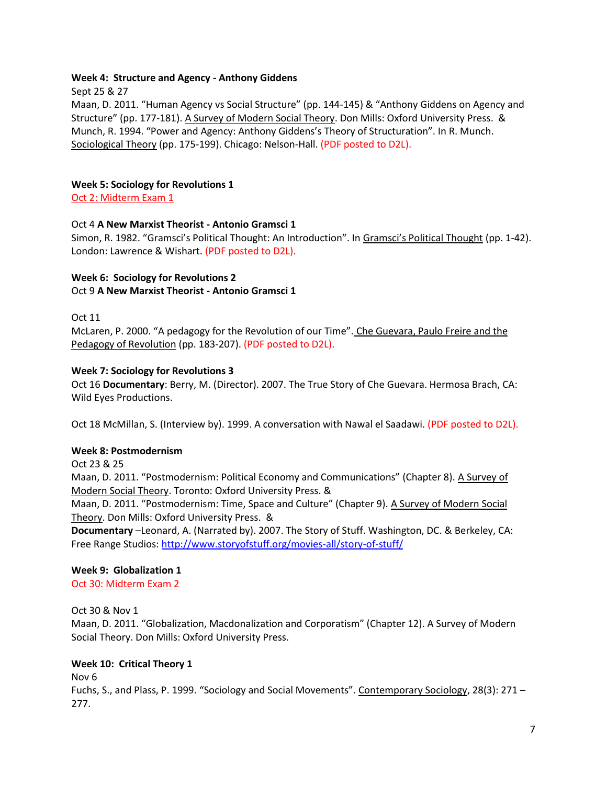# **Week 4: Structure and Agency - Anthony Giddens**

Sept 25 & 27

Maan, D. 2011. "Human Agency vs Social Structure" (pp. 144-145) & "Anthony Giddens on Agency and Structure" (pp. 177-181). A Survey of Modern Social Theory. Don Mills: Oxford University Press. & Munch, R. 1994. "Power and Agency: Anthony Giddens's Theory of Structuration". In R. Munch. Sociological Theory (pp. 175-199). Chicago: Nelson-Hall. (PDF posted to D2L).

# **Week 5: Sociology for Revolutions 1**

Oct 2: Midterm Exam 1

# Oct 4 **A New Marxist Theorist - Antonio Gramsci 1**

Simon, R. 1982. "Gramsci's Political Thought: An Introduction". In Gramsci's Political Thought (pp. 1-42). London: Lawrence & Wishart. (PDF posted to D2L).

# **Week 6: Sociology for Revolutions 2**

Oct 9 **A New Marxist Theorist - Antonio Gramsci 1**

Oct 11

McLaren, P. 2000. "A pedagogy for the Revolution of our Time". Che Guevara, Paulo Freire and the Pedagogy of Revolution (pp. 183-207). (PDF posted to D2L).

# **Week 7: Sociology for Revolutions 3**

Oct 16 **Documentary**: Berry, M. (Director). 2007. The True Story of Che Guevara. Hermosa Brach, CA: Wild Eyes Productions.

Oct 18 McMillan, S. (Interview by). 1999. A conversation with Nawal el Saadawi. (PDF posted to D2L).

# **Week 8: Postmodernism**

Oct 23 & 25

Maan, D. 2011. "Postmodernism: Political Economy and Communications" (Chapter 8). A Survey of Modern Social Theory. Toronto: Oxford University Press. &

Maan, D. 2011. "Postmodernism: Time, Space and Culture" (Chapter 9). A Survey of Modern Social Theory. Don Mills: Oxford University Press. &

**Documentary** –Leonard, A. (Narrated by). 2007. The Story of Stuff. Washington, DC. & Berkeley, CA: Free Range Studios:<http://www.storyofstuff.org/movies-all/story-of-stuff/>

# **Week 9: Globalization 1**

Oct 30: Midterm Exam 2

Oct 30 & Nov 1

Maan, D. 2011. "Globalization, Macdonalization and Corporatism" (Chapter 12). A Survey of Modern Social Theory. Don Mills: Oxford University Press.

# **Week 10: Critical Theory 1**

Nov 6

Fuchs, S., and Plass, P. 1999. "Sociology and Social Movements". Contemporary Sociology, 28(3): 271 – 277.